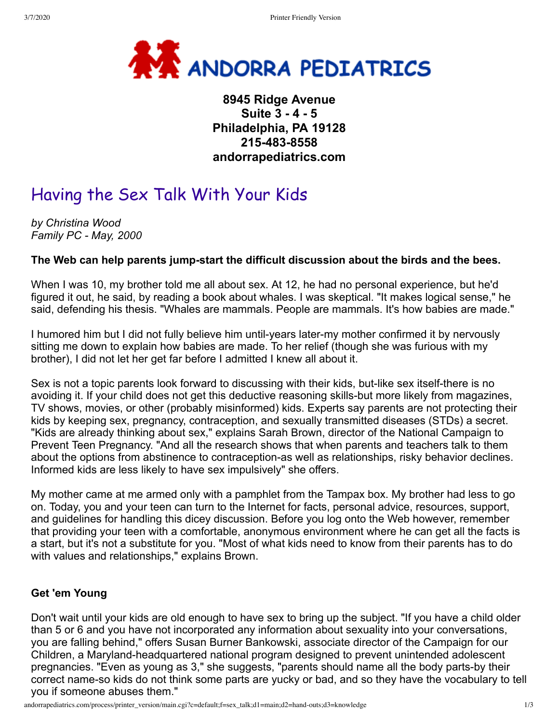

## **8945 Ridge Avenue Suite 3 - 4 - 5 Philadelphia, PA 19128 215-483-8558 andorrapediatrics.com**

# Having the Sex Talk With Your Kids

*by Christina Wood Family PC - May, 2000*

### **The Web can help parents jump-start the difficult discussion about the birds and the bees.**

When I was 10, my brother told me all about sex. At 12, he had no personal experience, but he'd figured it out, he said, by reading a book about whales. I was skeptical. "It makes logical sense," he said, defending his thesis. "Whales are mammals. People are mammals. It's how babies are made."

I humored him but I did not fully believe him until-years later-my mother confirmed it by nervously sitting me down to explain how babies are made. To her relief (though she was furious with my brother), I did not let her get far before I admitted I knew all about it.

Sex is not a topic parents look forward to discussing with their kids, but-like sex itself-there is no avoiding it. If your child does not get this deductive reasoning skills-but more likely from magazines, TV shows, movies, or other (probably misinformed) kids. Experts say parents are not protecting their kids by keeping sex, pregnancy, contraception, and sexually transmitted diseases (STDs) a secret. "Kids are already thinking about sex," explains Sarah Brown, director of the National Campaign to Prevent Teen Pregnancy. "And all the research shows that when parents and teachers talk to them about the options from abstinence to contraception-as well as relationships, risky behavior declines. Informed kids are less likely to have sex impulsively" she offers.

My mother came at me armed only with a pamphlet from the Tampax box. My brother had less to go on. Today, you and your teen can turn to the Internet for facts, personal advice, resources, support, and guidelines for handling this dicey discussion. Before you log onto the Web however, remember that providing your teen with a comfortable, anonymous environment where he can get all the facts is a start, but it's not a substitute for you. "Most of what kids need to know from their parents has to do with values and relationships," explains Brown.

#### **Get 'em Young**

Don't wait until your kids are old enough to have sex to bring up the subject. "If you have a child older than 5 or 6 and you have not incorporated any information about sexuality into your conversations, you are falling behind," offers Susan Burner Bankowski, associate director of the Campaign for our Children, a Maryland-headquartered national program designed to prevent unintended adolescent pregnancies. "Even as young as 3," she suggests, "parents should name all the body parts-by their correct name-so kids do not think some parts are yucky or bad, and so they have the vocabulary to tell you if someone abuses them."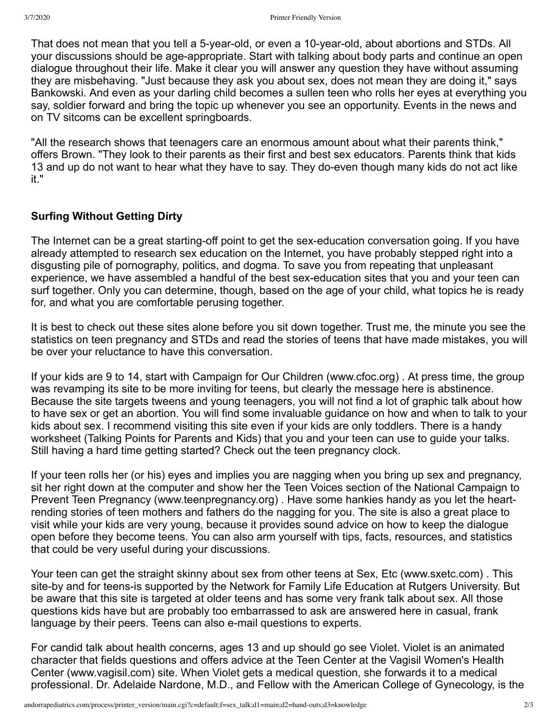That does not mean that you tell a 5-year-old, or even a 10-year-old, about abortions and STDs. All your discussions should be age-appropriate. Start with talking about body parts and continue an open dialogue throughout their life. Make it clear you will answer any question they have without assuming they are misbehaving. "Just because they ask you about sex, does not mean they are doing it," says Bankowski. And even as your darling child becomes a sullen teen who rolls her eyes at everything you say, soldier forward and bring the topic up whenever you see an opportunity. Events in the news and on TV sitcoms can be excellent springboards.

"All the research shows that teenagers care an enormous amount about what their parents think," offers Brown. "They look to their parents as their first and best sex educators. Parents think that kids 13 and up do not want to hear what they have to say. They do-even though many kids do not act like it."

#### **Surfing Without Getting Dirty**

The Internet can be a great starting-off point to get the sex-education conversation going. If you have already attempted to research sex education on the Internet, you have probably stepped right into a disgusting pile of pornography, politics, and dogma. To save you from repeating that unpleasant experience, we have assembled a handful of the best sex-education sites that you and your teen can surf together. Only you can determine, though, based on the age of your child, what topics he is ready for, and what you are comfortable perusing together.

It is best to check out these sites alone before you sit down together. Trust me, the minute you see the statistics on teen pregnancy and STDs and read the stories of teens that have made mistakes, you will be over your reluctance to have this conversation.

If your kids are 9 to 14, start with Campaign for Our Children (www.cfoc.org) . At press time, the group was revamping its site to be more inviting for teens, but clearly the message here is abstinence. Because the site targets tweens and young teenagers, you will not find a lot of graphic talk about how to have sex or get an abortion. You will find some invaluable guidance on how and when to talk to your kids about sex. I recommend visiting this site even if your kids are only toddlers. There is a handy worksheet (Talking Points for Parents and Kids) that you and your teen can use to guide your talks. Still having a hard time getting started? Check out the teen pregnancy clock.

If your teen rolls her (or his) eyes and implies you are nagging when you bring up sex and pregnancy, sit her right down at the computer and show her the Teen Voices section of the National Campaign to Prevent Teen Pregnancy (www.teenpregnancy.org) . Have some hankies handy as you let the heartrending stories of teen mothers and fathers do the nagging for you. The site is also a great place to visit while your kids are very young, because it provides sound advice on how to keep the dialogue open before they become teens. You can also arm yourself with tips, facts, resources, and statistics that could be very useful during your discussions.

Your teen can get the straight skinny about sex from other teens at Sex, Etc (www.sxetc.com) . This site-by and for teens-is supported by the Network for Family Life Education at Rutgers University. But be aware that this site is targeted at older teens and has some very frank talk about sex. All those questions kids have but are probably too embarrassed to ask are answered here in casual, frank language by their peers. Teens can also e-mail questions to experts.

For candid talk about health concerns, ages 13 and up should go see Violet. Violet is an animated character that fields questions and offers advice at the Teen Center at the Vagisil Women's Health Center (www.vagisil.com) site. When Violet gets a medical question, she forwards it to a medical professional. Dr. Adelaide Nardone, M.D., and Fellow with the American College of Gynecology, is the